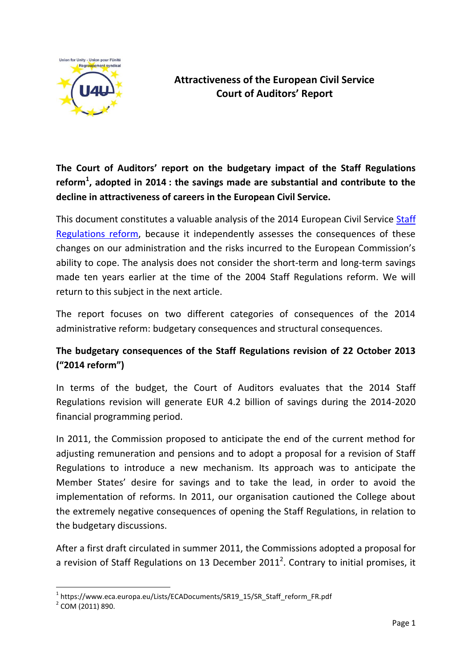

## **Attractiveness of the European Civil Service Court of Auditors' Report**

**The Court of Auditors' report on the budgetary impact of the Staff Regulations reform<sup>1</sup> , adopted in 2014 : the savings made are substantial and contribute to the decline in attractiveness of careers in the European Civil Service.**

This document constitutes a valuable analysis of the 2014 European Civil Service Staff [Regulations](https://u4unity.eu/statut2012.htm) reform, because it independently assesses the consequences of these changes on our administration and the risks incurred to the European Commission's ability to cope. The analysis does not consider the short-term and long-term savings made ten years earlier at the time of the 2004 Staff Regulations reform. We will return to this subject in the next article.

The report focuses on two different categories of consequences of the 2014 administrative reform: budgetary consequences and structural consequences.

## **The budgetary consequences of the Staff Regulations revision of 22 October 2013 ("2014 reform")**

In terms of the budget, the Court of Auditors evaluates that the 2014 Staff Regulations revision will generate EUR 4.2 billion of savings during the 2014-2020 financial programming period.

In 2011, the Commission proposed to anticipate the end of the current method for adjusting remuneration and pensions and to adopt a proposal for a revision of Staff Regulations to introduce a new mechanism. Its approach was to anticipate the Member States' desire for savings and to take the lead, in order to avoid the implementation of reforms. In 2011, our organisation cautioned the College about the extremely negative consequences of opening the Staff Regulations, in relation to the budgetary discussions.

After a first draft circulated in summer 2011, the Commissions adopted a proposal for a revision of Staff Regulations on 13 December 2011<sup>2</sup>. Contrary to initial promises, it

1

<sup>1</sup> https://www.eca.europa.eu/Lists/ECADocuments/SR19\_15/SR\_Staff\_reform\_FR.pdf

<sup>&</sup>lt;sup>2</sup> COM (2011) 890.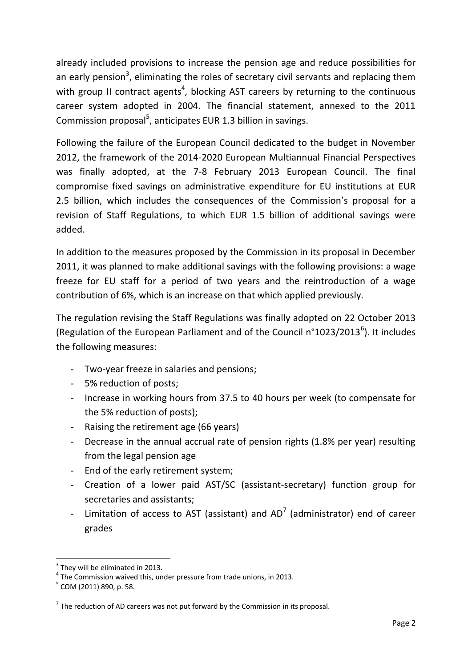already included provisions to increase the pension age and reduce possibilities for an early pension<sup>3</sup>, eliminating the roles of secretary civil servants and replacing them with group II contract agents<sup>4</sup>, blocking AST careers by returning to the continuous career system adopted in 2004. The financial statement, annexed to the 2011 Commission proposal<sup>5</sup>, anticipates EUR 1.3 billion in savings.

Following the failure of the European Council dedicated to the budget in November 2012, the framework of the 2014-2020 European Multiannual Financial Perspectives was finally adopted, at the 7-8 February 2013 European Council. The final compromise fixed savings on administrative expenditure for EU institutions at EUR 2.5 billion, which includes the consequences of the Commission's proposal for a revision of Staff Regulations, to which EUR 1.5 billion of additional savings were added.

In addition to the measures proposed by the Commission in its proposal in December 2011, it was planned to make additional savings with the following provisions: a wage freeze for EU staff for a period of two years and the reintroduction of a wage contribution of 6%, which is an increase on that which applied previously.

The regulation revising the Staff Regulations was finally adopted on 22 October 2013 (Regulation of the European Parliament and of the Council n°1023/2013<sup>6</sup>). It includes the following measures:

- Two-year freeze in salaries and pensions;
- 5% reduction of posts;
- Increase in working hours from 37.5 to 40 hours per week (to compensate for the 5% reduction of posts);
- Raising the retirement age (66 years)
- Decrease in the annual accrual rate of pension rights (1.8% per year) resulting from the legal pension age
- End of the early retirement system;
- Creation of a lower paid AST/SC (assistant-secretary) function group for secretaries and assistants;
- Limitation of access to AST (assistant) and AD<sup>7</sup> (administrator) end of career grades

**.** 

 $3$  They will be eliminated in 2013.

 $<sup>4</sup>$  The Commission waived this, under pressure from trade unions, in 2013.</sup>

<sup>&</sup>lt;sup>5</sup> COM (2011) 890, p. 58.

 $^7$  The reduction of AD careers was not put forward by the Commission in its proposal.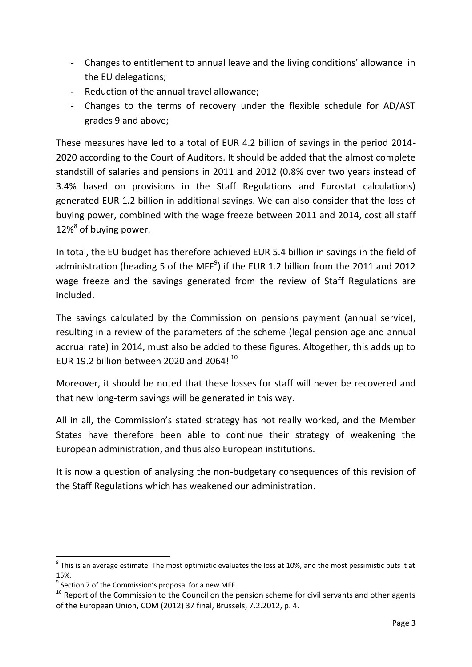- Changes to entitlement to annual leave and the living conditions' allowance in the EU delegations;
- Reduction of the annual travel allowance;
- Changes to the terms of recovery under the flexible schedule for AD/AST grades 9 and above;

These measures have led to a total of EUR 4.2 billion of savings in the period 2014- 2020 according to the Court of Auditors. It should be added that the almost complete standstill of salaries and pensions in 2011 and 2012 (0.8% over two years instead of 3.4% based on provisions in the Staff Regulations and Eurostat calculations) generated EUR 1.2 billion in additional savings. We can also consider that the loss of buying power, combined with the wage freeze between 2011 and 2014, cost all staff 12%<sup>8</sup> of buying power.

In total, the EU budget has therefore achieved EUR 5.4 billion in savings in the field of administration (heading 5 of the MFF $9$ ) if the EUR 1.2 billion from the 2011 and 2012 wage freeze and the savings generated from the review of Staff Regulations are included.

The savings calculated by the Commission on pensions payment (annual service), resulting in a review of the parameters of the scheme (legal pension age and annual accrual rate) in 2014, must also be added to these figures. Altogether, this adds up to EUR 19.2 billion between 2020 and 2064!  $^{10}$ 

Moreover, it should be noted that these losses for staff will never be recovered and that new long-term savings will be generated in this way.

All in all, the Commission's stated strategy has not really worked, and the Member States have therefore been able to continue their strategy of weakening the European administration, and thus also European institutions.

It is now a question of analysing the non-budgetary consequences of this revision of the Staff Regulations which has weakened our administration.

1

 $^8$  This is an average estimate. The most optimistic evaluates the loss at 10%, and the most pessimistic puts it at 15%.

 $9$  Section 7 of the Commission's proposal for a new MFF.

 $10$  Report of the Commission to the Council on the pension scheme for civil servants and other agents of the European Union, COM (2012) 37 final, Brussels, 7.2.2012, p. 4.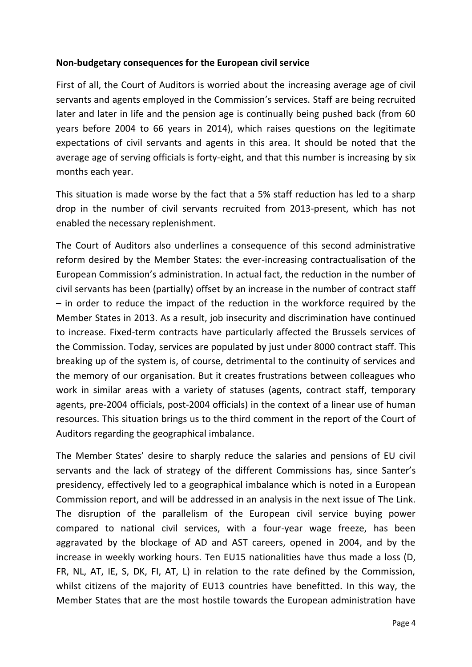## **Non-budgetary consequences for the European civil service**

First of all, the Court of Auditors is worried about the increasing average age of civil servants and agents employed in the Commission's services. Staff are being recruited later and later in life and the pension age is continually being pushed back (from 60 years before 2004 to 66 years in 2014), which raises questions on the legitimate expectations of civil servants and agents in this area. It should be noted that the average age of serving officials is forty-eight, and that this number is increasing by six months each year.

This situation is made worse by the fact that a 5% staff reduction has led to a sharp drop in the number of civil servants recruited from 2013-present, which has not enabled the necessary replenishment.

The Court of Auditors also underlines a consequence of this second administrative reform desired by the Member States: the ever-increasing contractualisation of the European Commission's administration. In actual fact, the reduction in the number of civil servants has been (partially) offset by an increase in the number of contract staff – in order to reduce the impact of the reduction in the workforce required by the Member States in 2013. As a result, job insecurity and discrimination have continued to increase. Fixed-term contracts have particularly affected the Brussels services of the Commission. Today, services are populated by just under 8000 contract staff. This breaking up of the system is, of course, detrimental to the continuity of services and the memory of our organisation. But it creates frustrations between colleagues who work in similar areas with a variety of statuses (agents, contract staff, temporary agents, pre-2004 officials, post-2004 officials) in the context of a linear use of human resources. This situation brings us to the third comment in the report of the Court of Auditors regarding the geographical imbalance.

The Member States' desire to sharply reduce the salaries and pensions of EU civil servants and the lack of strategy of the different Commissions has, since Santer's presidency, effectively led to a geographical imbalance which is noted in a European Commission report, and will be addressed in an analysis in the next issue of The Link. The disruption of the parallelism of the European civil service buying power compared to national civil services, with a four-year wage freeze, has been aggravated by the blockage of AD and AST careers, opened in 2004, and by the increase in weekly working hours. Ten EU15 nationalities have thus made a loss (D, FR, NL, AT, IE, S, DK, FI, AT, L) in relation to the rate defined by the Commission, whilst citizens of the majority of EU13 countries have benefitted. In this way, the Member States that are the most hostile towards the European administration have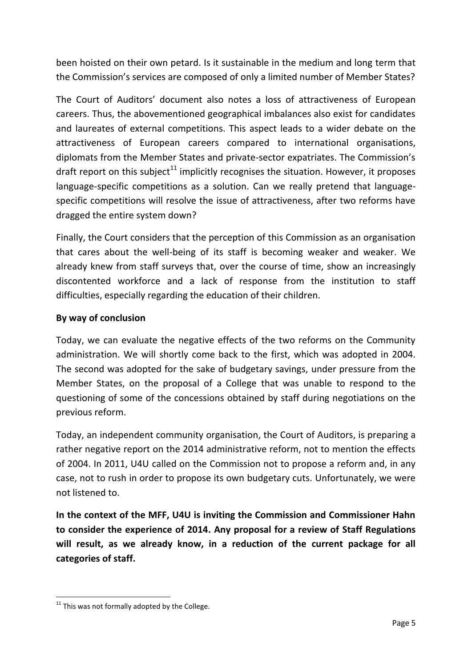been hoisted on their own petard. Is it sustainable in the medium and long term that the Commission's services are composed of only a limited number of Member States?

The Court of Auditors' document also notes a loss of attractiveness of European careers. Thus, the abovementioned geographical imbalances also exist for candidates and laureates of external competitions. This aspect leads to a wider debate on the attractiveness of European careers compared to international organisations, diplomats from the Member States and private-sector expatriates. The Commission's draft report on this subject<sup>11</sup> implicitly recognises the situation. However, it proposes language-specific competitions as a solution. Can we really pretend that languagespecific competitions will resolve the issue of attractiveness, after two reforms have dragged the entire system down?

Finally, the Court considers that the perception of this Commission as an organisation that cares about the well-being of its staff is becoming weaker and weaker. We already knew from staff surveys that, over the course of time, show an increasingly discontented workforce and a lack of response from the institution to staff difficulties, especially regarding the education of their children.

## **By way of conclusion**

Today, we can evaluate the negative effects of the two reforms on the Community administration. We will shortly come back to the first, which was adopted in 2004. The second was adopted for the sake of budgetary savings, under pressure from the Member States, on the proposal of a College that was unable to respond to the questioning of some of the concessions obtained by staff during negotiations on the previous reform.

Today, an independent community organisation, the Court of Auditors, is preparing a rather negative report on the 2014 administrative reform, not to mention the effects of 2004. In 2011, U4U called on the Commission not to propose a reform and, in any case, not to rush in order to propose its own budgetary cuts. Unfortunately, we were not listened to.

**In the context of the MFF, U4U is inviting the Commission and Commissioner Hahn to consider the experience of 2014. Any proposal for a review of Staff Regulations will result, as we already know, in a reduction of the current package for all categories of staff.**

**.** 

 $11$  This was not formally adopted by the College.